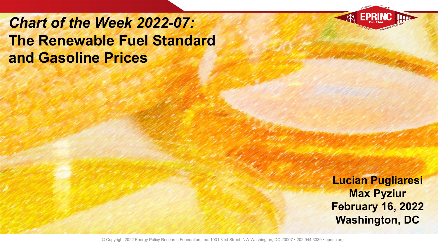*Chart of the Week 2022-07:* **The Renewable Fuel Standard and Gasoline Prices**

> **Lucian Pugliaresi Max Pyziur February 16, 2022 Washington, DC**

© Copyright 2022 Energy Policy Research Foundation, Inc. 1031 31st Street, NW Washington, DC 20007 · 202.944.3339 · eprinc.org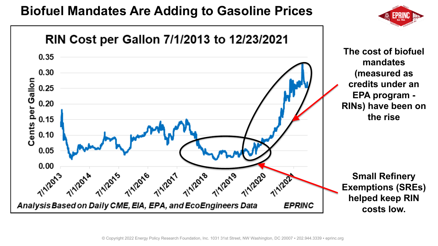## **Biofuel Mandates Are Adding to Gasoline Prices**



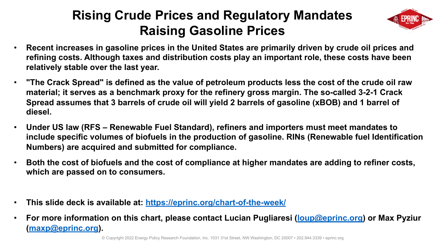## **Rising Crude Prices and Regulator Raising Gasoline Prices**

- **Recent increases in gasoline prices in the United States are prim** refining costs. Although taxes and distribution costs play an imp **relatively stable over the last year.**
- **The Crack Spread" is defined as the value of petroleum products** material; it serves as a benchmark proxy for the refinery gross m **Spread assumes that 3 barrels of crude oil will yield 2 barrels of gasoring that [diesel.](mailto:batto@eprinc.org)**
- **Under US law (RFS Renewable Fuel Standard), refiners and importers on all mandates must meet mandate mandates to all mandates to all mandates to all mandates and contaters and importers and importers and importers and** include specific volumes of biofuels in the production of gasoline **Numbers) are acquired and submitted for compliance.**
- **Both the cost of biofuels and the cost of compliance at higher mangleng to refine to refine to refinement on which are passed on to consumers.**
- This slide deck is available at: https://eprinc.org/chart-of-the-wee
- **For more information on this chart, please contact Lucian Pugliaresign Contact Contact (maxp@eprinc.org).**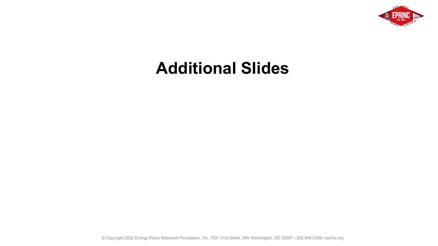

## **Additional Slides**

© Copyright 2022 Energy Policy Research Foundation, Inc. 1031 31st Street, NW Washington, DC 20007 ▪ 202.944.3339 ▪ eprinc.org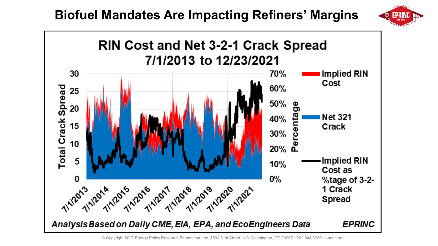



© Copyright 2022 Energy Policy Research Foundation, Inc. 1031 31st Street, NW Washington, DC 20007 ▪ 202.944.3339 ▪ eprinc.org